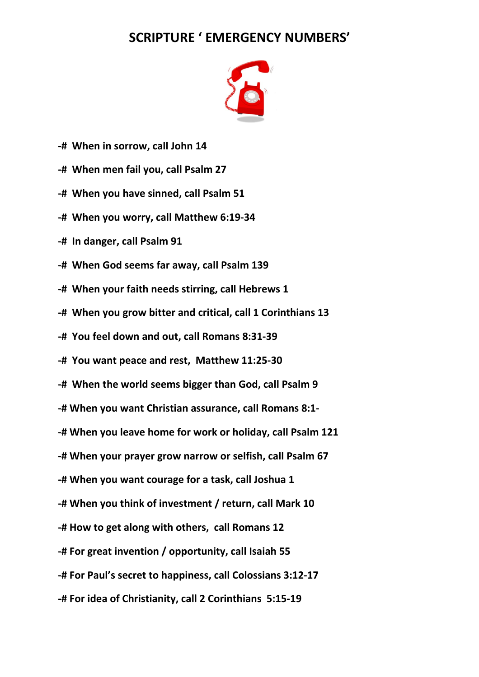## SCRIPTURE ' EMERGENCY NUMBERS'



- -# When in sorrow, call John 14
- -# When men fail you, call Psalm 27
- -# When you have sinned, call Psalm 51
- -# When you worry, call Matthew 6:19-34
- -# In danger, call Psalm 91
- -# When God seems far away, call Psalm 139
- -# When your faith needs stirring, call Hebrews 1
- -# When you grow bitter and critical, call 1 Corinthians 13
- -# You feel down and out, call Romans 8:31-39
- -# You want peace and rest, Matthew 11:25-30
- -# When the world seems bigger than God, call Psalm 9
- -# When you want Christian assurance, call Romans 8:1-
- -# When you leave home for work or holiday, call Psalm 121
- -# When your prayer grow narrow or selfish, call Psalm 67
- -# When you want courage for a task, call Joshua 1
- -# When you think of investment / return, call Mark 10
- -# How to get along with others, call Romans 12
- -# For great invention / opportunity, call Isaiah 55
- -# For Paul's secret to happiness, call Colossians 3:12-17
- -# For idea of Christianity, call 2 Corinthians 5:15-19